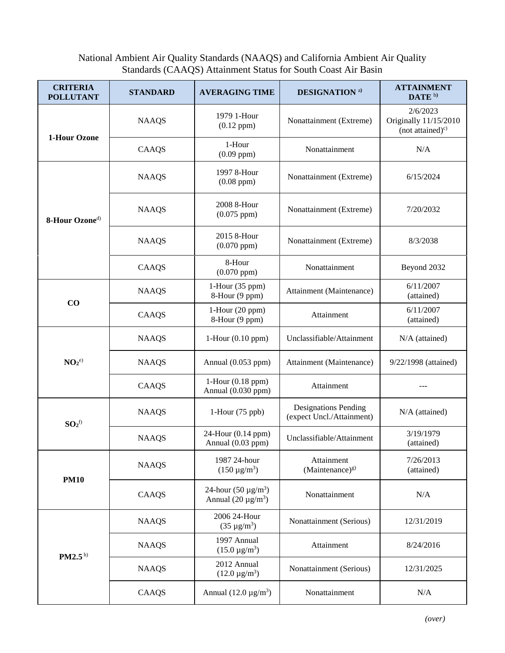## National Ambient Air Quality Standards (NAAQS) and California Ambient Air Quality Standards (CAAQS) Attainment Status for South Coast Air Basin

| <b>CRITERIA</b><br><b>POLLUTANT</b> | <b>STANDARD</b> | <b>AVERAGING TIME</b>                                 | <b>DESIGNATION</b> a)                                    | <b>ATTAINMENT</b><br>DATE <sup>b)</sup>                   |
|-------------------------------------|-----------------|-------------------------------------------------------|----------------------------------------------------------|-----------------------------------------------------------|
| 1-Hour Ozone                        | <b>NAAQS</b>    | 1979 1-Hour<br>$(0.12$ ppm $)$                        | Nonattainment (Extreme)                                  | 2/6/2023<br>Originally 11/15/2010<br>(not attained) $c$ ) |
|                                     | CAAQS           | 1-Hour<br>$(0.09$ ppm $)$                             | Nonattainment                                            | N/A                                                       |
| 8-Hour Ozone <sup>d)</sup>          | <b>NAAQS</b>    | 1997 8-Hour<br>$(0.08$ ppm $)$                        | Nonattainment (Extreme)                                  | 6/15/2024                                                 |
|                                     | <b>NAAQS</b>    | 2008 8-Hour<br>$(0.075$ ppm $)$                       | Nonattainment (Extreme)                                  | 7/20/2032                                                 |
|                                     | <b>NAAQS</b>    | 2015 8-Hour<br>$(0.070$ ppm $)$                       | Nonattainment (Extreme)                                  | 8/3/2038                                                  |
|                                     | CAAQS           | 8-Hour<br>$(0.070$ ppm $)$                            | Nonattainment                                            | Beyond 2032                                               |
| CO                                  | <b>NAAQS</b>    | 1-Hour (35 ppm)<br>8-Hour (9 ppm)                     | Attainment (Maintenance)                                 | 6/11/2007<br>(attained)                                   |
|                                     | CAAQS           | $1$ -Hour $(20$ ppm $)$<br>8-Hour (9 ppm)             | Attainment                                               | 6/11/2007<br>(attained)                                   |
| NO <sub>2</sub> <sup>e)</sup>       | <b>NAAQS</b>    | $1-Hour (0.10 ppm)$                                   | Unclassifiable/Attainment                                | $N/A$ (attained)                                          |
|                                     | <b>NAAQS</b>    | Annual (0.053 ppm)                                    | Attainment (Maintenance)                                 | 9/22/1998 (attained)                                      |
|                                     | CAAQS           | $1$ -Hour $(0.18$ ppm $)$<br>Annual (0.030 ppm)       | Attainment                                               |                                                           |
| $SO_2$ f)                           | <b>NAAQS</b>    | $1-Hour (75 ppb)$                                     | <b>Designations Pending</b><br>(expect Uncl./Attainment) | $N/A$ (attained)                                          |
|                                     | <b>NAAQS</b>    | 24-Hour (0.14 ppm)<br>Annual (0.03 ppm)               | Unclassifiable/Attainment                                | 3/19/1979<br>(attained)                                   |
| <b>PM10</b>                         | <b>NAAQS</b>    | 1987 24-hour<br>$(150 \,\mathrm{\mu g/m^3})$          | Attainment<br>(Maintenance) $g$ )                        | 7/26/2013<br>(attained)                                   |
|                                     | CAAQS           | 24-hour $(50 \,\mu g/m^3)$<br>Annual $(20 \mu g/m^3)$ | Nonattainment                                            | N/A                                                       |
| PM2.5 <sup>h</sup>                  | <b>NAAQS</b>    | 2006 24-Hour<br>$(35 \,\mu g/m^3)$                    | Nonattainment (Serious)                                  | 12/31/2019                                                |
|                                     | <b>NAAQS</b>    | 1997 Annual<br>$(15.0 \,\mu g/m^3)$                   | Attainment                                               | 8/24/2016                                                 |
|                                     | <b>NAAQS</b>    | 2012 Annual<br>$(12.0 \,\mu g/m^3)$                   | Nonattainment (Serious)                                  | 12/31/2025                                                |
|                                     | CAAQS           | Annual $(12.0 \,\mu\text{g/m}^3)$                     | Nonattainment                                            | $\rm N/A$                                                 |